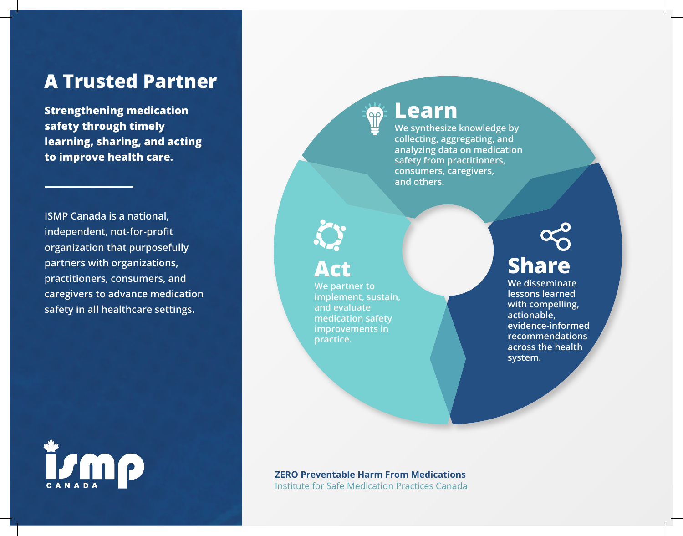## **A Trusted Partner**

**Strengthening medication safety through timely learning, sharing, and acting to improve health care.**

**ISMP Canada is a national, independent, not-for-profit organization that purposefully partners with organizations, practitioners, consumers, and caregivers to advance medication safety in all healthcare settings.**



### **Learn**

 $\P$ 

**We synthesize knowledge by collecting, aggregating, and analyzing data on medication safety from practitioners, consumers, caregivers, and others.**

## **Act**

**We partner to implement, sustain, and evaluate medication safety improvements in practice.**

# **Share**

**We disseminate lessons learned with compelling, actionable, evidence-informed recommendations across the health system.**